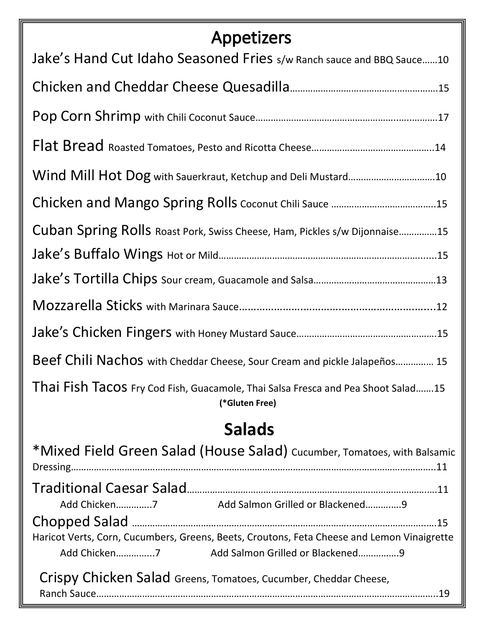# Appetizers

| Jake's Hand Cut Idaho Seasoned Fries s/w Ranch sauce and BBQ Sauce10                               |
|----------------------------------------------------------------------------------------------------|
|                                                                                                    |
|                                                                                                    |
|                                                                                                    |
| Wind Mill Hot Dog with Sauerkraut, Ketchup and Deli Mustard10                                      |
|                                                                                                    |
| Cuban Spring Rolls Roast Pork, Swiss Cheese, Ham, Pickles s/w Dijonnaise15                         |
|                                                                                                    |
|                                                                                                    |
|                                                                                                    |
|                                                                                                    |
| Beef Chili Nachos with Cheddar Cheese, Sour Cream and pickle Jalapeños 15                          |
| Thai Fish Tacos Fry Cod Fish, Guacamole, Thai Salsa Fresca and Pea Shoot Salad15<br>(*Gluten Free) |
| <b>Salads</b>                                                                                      |
| *Mixed Field Green Salad (House Salad) Cucumber, Tomatoes, with Balsamic                           |
|                                                                                                    |
| Add Chicken7 Add Salmon Grilled or Blackened9                                                      |
| Haricot Verts, Corn, Cucumbers, Greens, Beets, Croutons, Feta Cheese and Lemon Vinaigrette         |
|                                                                                                    |
| Crispy Chicken Salad Greens, Tomatoes, Cucumber, Cheddar Cheese,                                   |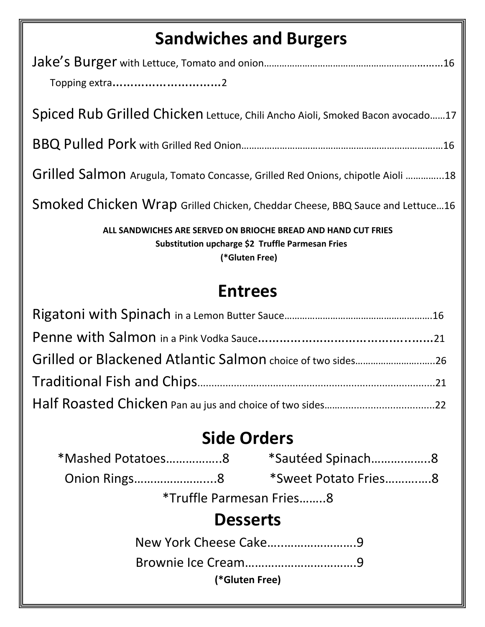# **Sandwiches and Burgers**

| Januwiches and Duigers                                                                                                              |  |  |  |
|-------------------------------------------------------------------------------------------------------------------------------------|--|--|--|
|                                                                                                                                     |  |  |  |
| Topping extra2                                                                                                                      |  |  |  |
| Spiced Rub Grilled Chicken Lettuce, Chili Ancho Aioli, Smoked Bacon avocado17                                                       |  |  |  |
|                                                                                                                                     |  |  |  |
| Grilled Salmon Arugula, Tomato Concasse, Grilled Red Onions, chipotle Aioli 18                                                      |  |  |  |
| Smoked Chicken Wrap Grilled Chicken, Cheddar Cheese, BBQ Sauce and Lettuce16                                                        |  |  |  |
| ALL SANDWICHES ARE SERVED ON BRIOCHE BREAD AND HAND CUT FRIES<br>Substitution upcharge \$2 Truffle Parmesan Fries<br>(*Gluten Free) |  |  |  |
| <b>Entrees</b>                                                                                                                      |  |  |  |
|                                                                                                                                     |  |  |  |
|                                                                                                                                     |  |  |  |
| Grilled or Blackened Atlantic Salmon choice of two sides26                                                                          |  |  |  |
|                                                                                                                                     |  |  |  |
|                                                                                                                                     |  |  |  |
| $\mathbf{C}$                                                                                                                        |  |  |  |

# **Side Orders**

| *Mashed Potatoes8 | *Sautéed Spinach8    |
|-------------------|----------------------|
| Onion Rings8      | *Sweet Potato Fries8 |

\*Truffle Parmesan Fries……..8

# **Desserts**

New York Cheese Cake...............................9

 Brownie Ice Cream…………………………….9

**(\*Gluten Free)**